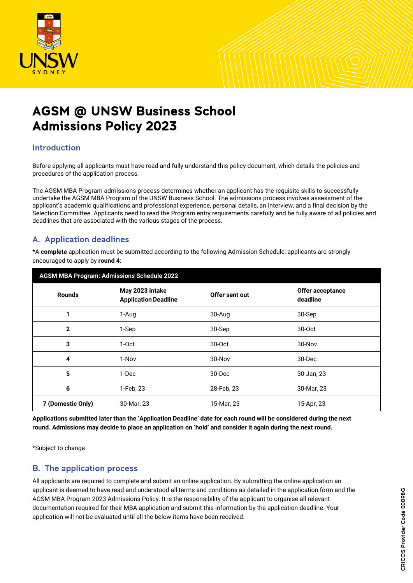

# AGSM @ UNSW Business School Admissions Policy 2023

# Introduction

Before applying all applicants must have read and fully understand this policy document, which details the policies and procedures of the application process.

The AGSM MBA Program admissions process determines whether an applicant has the requisite skills to successfully undertake the AGSM MBA Program of the UNSW Business School. The admissions process involves assessment of the applicant's academic qualifications and professional experience, personal details, an interview, and a final decision by the Selection Committee. Applicants need to read the Program entry requirements carefully and be fully aware of all policies and deadlines that are associated with the various stages of the process.

# A. Application deadlines

\*A **complete** application must be submitted according to the following Admission Schedule; applicants are strongly encouraged to apply by **round 4**:

| <b>AGSM MBA Program: Admissions Schedule 2022</b> |                                                |                |                              |
|---------------------------------------------------|------------------------------------------------|----------------|------------------------------|
| <b>Rounds</b>                                     | May 2023 intake<br><b>Application Deadline</b> | Offer sent out | Offer acceptance<br>deadline |
| 1                                                 | 1-Aug                                          | 30-Aug         | 30-Sep                       |
| $\mathbf{2}$                                      | 1-Sep                                          | 30-Sep         | $30-0ct$                     |
| 3                                                 | $1-0ct$                                        | 30-Oct         | 30-Nov                       |
| 4                                                 | 1-Nov                                          | 30-Nov         | 30-Dec                       |
| 5                                                 | 1-Dec                                          | 30-Dec         | 30-Jan, 23                   |
| 6                                                 | 1-Feb, 23                                      | 28-Feb, 23     | 30-Mar, 23                   |
| 7 (Domestic Only)                                 | 30-Mar, 23                                     | 15-Mar, 23     | 15-Apr, 23                   |

**Applications submitted later than the 'Application Deadline' date for each round will be considered during the next round. Admissions may decide to place an application on 'hold' and consider it again during the next round.**

\*Subject to change

# B. The application process

All applicants are required to complete and submit an online application. By submitting the online application an applicant is deemed to have read and understood all terms and conditions as detailed in the application form and the AGSM MBA Program 2023 Admissions Policy. It is the responsibility of the applicant to organise all relevant documentation required for their MBA application and submit this information by the application deadline. Your application will not be evaluated until all the below items have been received.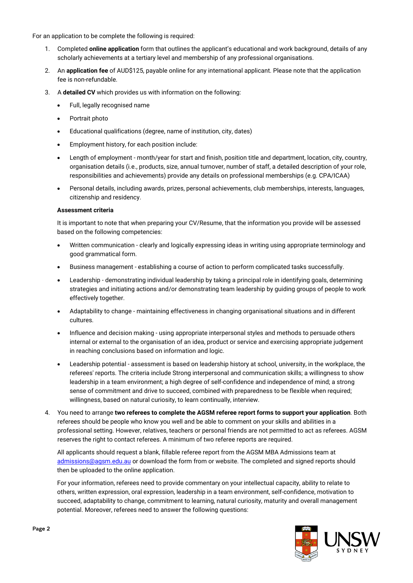For an application to be complete the following is required:

- 1. Completed **online application** form that outlines the applicant's educational and work background, details of any scholarly achievements at a tertiary level and membership of any professional organisations.
- 2. An **application fee** of AUD\$125, payable online for any international applicant. Please note that the application fee is non-refundable.
- 3. A **detailed CV** which provides us with information on the following:
	- Full, legally recognised name
	- Portrait photo
	- Educational qualifications (degree, name of institution, city, dates)
	- Employment history, for each position include:
	- Length of employment month/year for start and finish, position title and department, location, city, country, organisation details (i.e., products, size, annual turnover, number of staff, a detailed description of your role, responsibilities and achievements) provide any details on professional memberships (e.g. CPA/ICAA)
	- Personal details, including awards, prizes, personal achievements, club memberships, interests, languages, citizenship and residency.

#### **Assessment criteria**

It is important to note that when preparing your CV/Resume, that the information you provide will be assessed based on the following competencies:

- Written communication clearly and logically expressing ideas in writing using appropriate terminology and good grammatical form.
- Business management establishing a course of action to perform complicated tasks successfully.
- Leadership demonstrating individual leadership by taking a principal role in identifying goals, determining strategies and initiating actions and/or demonstrating team leadership by guiding groups of people to work effectively together.
- Adaptability to change maintaining effectiveness in changing organisational situations and in different cultures.
- Influence and decision making using appropriate interpersonal styles and methods to persuade others internal or external to the organisation of an idea, product or service and exercising appropriate judgement in reaching conclusions based on information and logic.
- Leadership potential assessment is based on leadership history at school, university, in the workplace, the referees' reports. The criteria include Strong interpersonal and communication skills; a willingness to show leadership in a team environment; a high degree of self-confidence and independence of mind; a strong sense of commitment and drive to succeed, combined with preparedness to be flexible when required; willingness, based on natural curiosity, to learn continually, interview.
- 4. You need to arrange **two referees to complete the AGSM referee report forms to support your application**. Both referees should be people who know you well and be able to comment on your skills and abilities in a professional setting. However, relatives, teachers or personal friends are not permitted to act as referees. AGSM reserves the right to contact referees. A minimum of two referee reports are required.

All applicants should request a blank, fillable referee report from the AGSM MBA Admissions team at [admissions@agsm.edu.au](mailto:admissions@agsm.edu.au) or download the form from or website. The completed and signed reports should then be uploaded to the online application.

For your information, referees need to provide commentary on your intellectual capacity, ability to relate to others, written expression, oral expression, leadership in a team environment, self-confidence, motivation to succeed, adaptability to change, commitment to learning, natural curiosity, maturity and overall management potential. Moreover, referees need to answer the following questions:

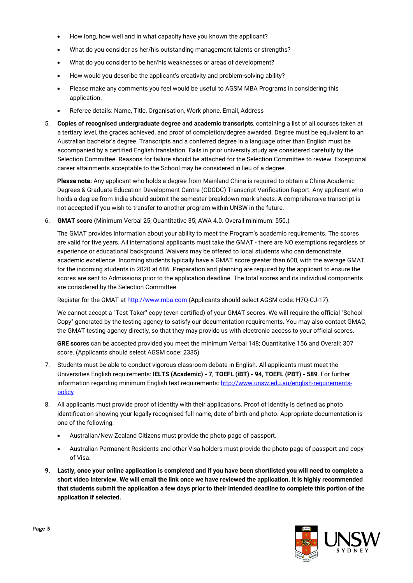- How long, how well and in what capacity have you known the applicant?
- What do you consider as her/his outstanding management talents or strengths?
- What do you consider to be her/his weaknesses or areas of development?
- How would you describe the applicant's creativity and problem-solving ability?
- Please make any comments you feel would be useful to AGSM MBA Programs in considering this application.
- Referee details: Name, Title, Organisation, Work phone, Email, Address
- 5. **Copies of recognised undergraduate degree and academic transcripts**, containing a list of all courses taken at a tertiary level, the grades achieved, and proof of completion/degree awarded. Degree must be equivalent to an Australian bachelor's degree. Transcripts and a conferred degree in a language other than English must be accompanied by a certified English translation. Fails in prior university study are considered carefully by the Selection Committee. Reasons for failure should be attached for the Selection Committee to review. Exceptional career attainments acceptable to the School may be considered in lieu of a degree.

**Please note:** Any applicant who holds a degree from Mainland China is required to obtain a China Academic Degrees & Graduate Education Development Centre (CDGDC) Transcript Verification Report. Any applicant who holds a degree from India should submit the semester breakdown mark sheets. A comprehensive transcript is not accepted if you wish to transfer to another program within UNSW in the future.

6. **GMAT score** (Minimum Verbal 25; Quantitative 35; AWA 4.0. Overall minimum: 550.)

The GMAT provides information about your ability to meet the Program's academic requirements. The scores are valid for five years. All international applicants must take the GMAT - there are NO exemptions regardless of experience or educational background. Waivers may be offered to local students who can demonstrate academic excellence. Incoming students typically have a GMAT score greater than 600, with the average GMAT for the incoming students in 2020 at 686. Preparation and planning are required by the applicant to ensure the scores are sent to Admissions prior to the application deadline. The total scores and its individual components are considered by the Selection Committee.

Register for the GMAT a[t http://www.mba.com](http://www.mba.com/) (Applicants should select AGSM code: H7Q-CJ-17).

We cannot accept a "Test Taker" copy (even certified) of your GMAT scores. We will require the official "School Copy" generated by the testing agency to satisfy our documentation requirements. You may also contact GMAC, the GMAT testing agency directly, so that they may provide us with electronic access to your official scores.

**GRE scores** can be accepted provided you meet the minimum Verbal 148; Quantitative 156 and Overall: 307 score. (Applicants should select AGSM code: 2335)

- 7. Students must be able to conduct vigorous classroom debate in English. All applicants must meet the Universities English requirements: **IELTS (Academic) - 7, TOEFL (iBT) - 94, TOEFL (PBT) - 589**. For further information regarding minimum English test requirements[: http://www.unsw.edu.au/english-requirements](http://www.unsw.edu.au/english-requirements-policy)[policy](http://www.unsw.edu.au/english-requirements-policy)
- 8. All applicants must provide proof of identity with their applications. Proof of identity is defined as photo identification showing your legally recognised full name, date of birth and photo. Appropriate documentation is one of the following:
	- Australian/New Zealand Citizens must provide the photo page of passport.
	- Australian Permanent Residents and other Visa holders must provide the photo page of passport and copy of Visa.
- **9. Lastly, once your online application is completed and if you have been shortlisted you will need to complete a short video Interview. We will email the link once we have reviewed the application. It is highly recommended that students submit the application a few days prior to their intended deadline to complete this portion of the application if selected.**

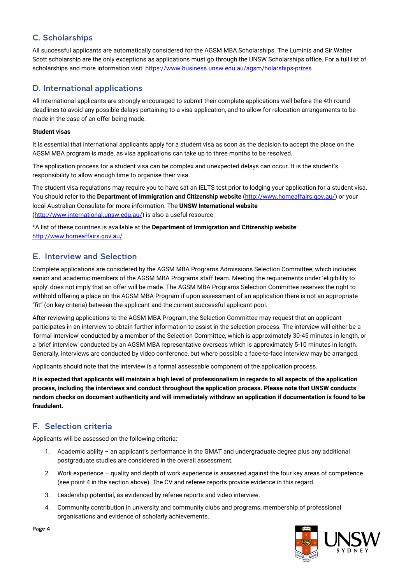# C. Scholarships

All successful applicants are automatically considered for the AGSM MBA Scholarships. The Luminis and Sir Walter Scott scholarship are the only exceptions as applications must go through the UNSW Scholarships office. For a full list of scholarships and more information visit[: https://www.business.unsw.edu.au/agsm/holarships-prizes](https://www.business.unsw.edu.au/agsm/holarships-prizes)

# D. International applications

All international applicants are strongly encouraged to submit their complete applications well before the 4th round deadlines to avoid any possible delays pertaining to a visa application, and to allow for relocation arrangements to be made in the case of an offer being made.

#### **Student visas**

It is essential that international applicants apply for a student visa as soon as the decision to accept the place on the AGSM MBA program is made, as visa applications can take up to three months to be resolved.

The application process for a student visa can be complex and unexpected delays can occur. It is the student's responsibility to allow enough time to organise their visa.

The student visa regulations may require you to have sat an IELTS test prior to lodging your application for a student visa. You should refer to the **Department of Immigration and Citizenship website** [\(http://www.homeaffairs.gov.au/\)](http://www.homeaffairs.gov.au/) or your local Australian Consulate for more information. The **UNSW International website**  [\(http://www.international.unsw.edu.au/\)](http://www.international.unsw.edu.au/) is also a useful resource.

\*A list of these countries is available at the **Department of Immigration and Citizenship website**: <http://www.homeaffairs.gov.au/>

# E. Interview and Selection

Complete applications are considered by the AGSM MBA Programs Admissions Selection Committee, which includes senior and academic members of the AGSM MBA Programs staff team. Meeting the requirements under 'eligibility to apply' does not imply that an offer will be made. The AGSM MBA Programs Selection Committee reserves the right to withhold offering a place on the AGSM MBA Program if upon assessment of an application there is not an appropriate "fit" (on key criteria) between the applicant and the current successful applicant pool.

After reviewing applications to the AGSM MBA Program, the Selection Committee may request that an applicant participates in an interview to obtain further information to assist in the selection process. The interview will either be a 'formal interview' conducted by a member of the Selection Committee, which is approximately 30-45 minutes in length, or a 'brief interview' conducted by an AGSM MBA representative overseas which is approximately 5-10 minutes in length. Generally, interviews are conducted by video conference, but where possible a face-to-face interview may be arranged.

Applicants should note that the interview is a formal assessable component of the application process.

**It is expected that applicants will maintain a high level of professionalism in regards to all aspects of the application process, including the interviews and conduct throughout the application process. Please note that UNSW conducts random checks on document authenticity and will immediately withdraw an application if documentation is found to be fraudulent.** 

# F. Selection criteria

Applicants will be assessed on the following criteria:

- 1. Academic ability an applicant's performance in the GMAT and undergraduate degree plus any additional postgraduate studies are considered in the overall assessment.
- 2. Work experience quality and depth of work experience is assessed against the four key areas of competence (see point 4 in the section above). The CV and referee reports provide evidence in this regard.
- 3. Leadership potential, as evidenced by referee reports and video interview.
- 4. Community contribution in university and community clubs and programs, membership of professional organisations and evidence of scholarly achievements.



Page 4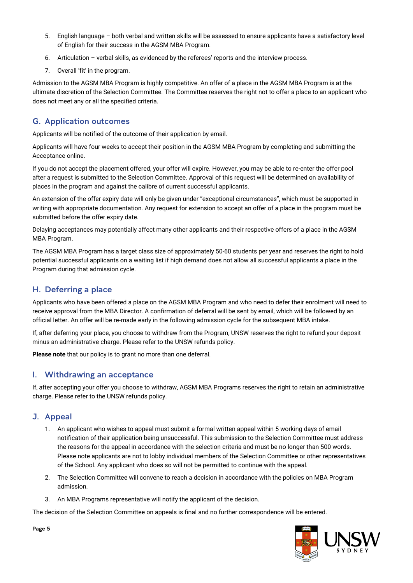- 5. English language both verbal and written skills will be assessed to ensure applicants have a satisfactory level of English for their success in the AGSM MBA Program.
- 6. Articulation verbal skills, as evidenced by the referees' reports and the interview process.
- 7. Overall 'fit' in the program.

Admission to the AGSM MBA Program is highly competitive. An offer of a place in the AGSM MBA Program is at the ultimate discretion of the Selection Committee. The Committee reserves the right not to offer a place to an applicant who does not meet any or all the specified criteria.

## G. Application outcomes

Applicants will be notified of the outcome of their application by email.

Applicants will have four weeks to accept their position in the AGSM MBA Program by completing and submitting the Acceptance online.

If you do not accept the placement offered, your offer will expire. However, you may be able to re-enter the offer pool after a request is submitted to the Selection Committee. Approval of this request will be determined on availability of places in the program and against the calibre of current successful applicants.

An extension of the offer expiry date will only be given under "exceptional circumstances", which must be supported in writing with appropriate documentation. Any request for extension to accept an offer of a place in the program must be submitted before the offer expiry date.

Delaying acceptances may potentially affect many other applicants and their respective offers of a place in the AGSM MBA Program.

The AGSM MBA Program has a target class size of approximately 50-60 students per year and reserves the right to hold potential successful applicants on a waiting list if high demand does not allow all successful applicants a place in the Program during that admission cycle.

### H. Deferring a place

Applicants who have been offered a place on the AGSM MBA Program and who need to defer their enrolment will need to receive approval from the MBA Director. A confirmation of deferral will be sent by email, which will be followed by an official letter. An offer will be re-made early in the following admission cycle for the subsequent MBA intake.

If, after deferring your place, you choose to withdraw from the Program, UNSW reserves the right to refund your deposit minus an administrative charge. Please refer to the UNSW refunds policy.

**Please note** that our policy is to grant no more than one deferral.

#### I. Withdrawing an acceptance

If, after accepting your offer you choose to withdraw, AGSM MBA Programs reserves the right to retain an administrative charge. Please refer to the UNSW refunds policy.

#### J. Appeal

- 1. An applicant who wishes to appeal must submit a formal written appeal within 5 working days of email notification of their application being unsuccessful. This submission to the Selection Committee must address the reasons for the appeal in accordance with the selection criteria and must be no longer than 500 words. Please note applicants are not to lobby individual members of the Selection Committee or other representatives of the School. Any applicant who does so will not be permitted to continue with the appeal.
- 2. The Selection Committee will convene to reach a decision in accordance with the policies on MBA Program admission.
- 3. An MBA Programs representative will notify the applicant of the decision.

The decision of the Selection Committee on appeals is final and no further correspondence will be entered.